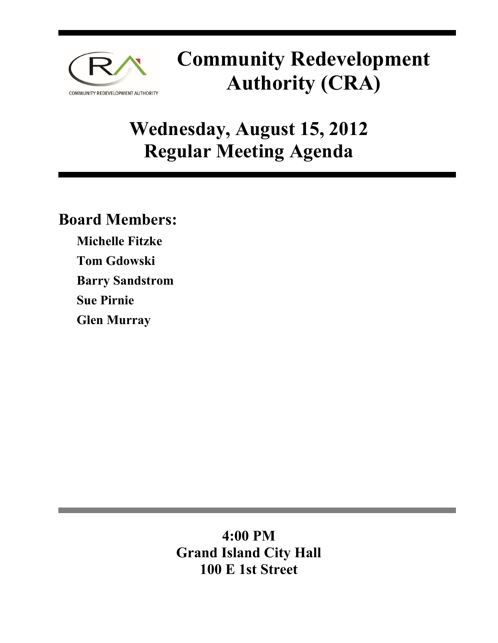

# **Community Redevelopment Authority (CRA)**

# **Wednesday, August 15, 2012 Regular Meeting Agenda**

# **Board Members:**

**Michelle Fitzke Tom Gdowski Barry Sandstrom Sue Pirnie Glen Murray** 

> **4:00 PM Grand Island City Hall 100 E 1st Street**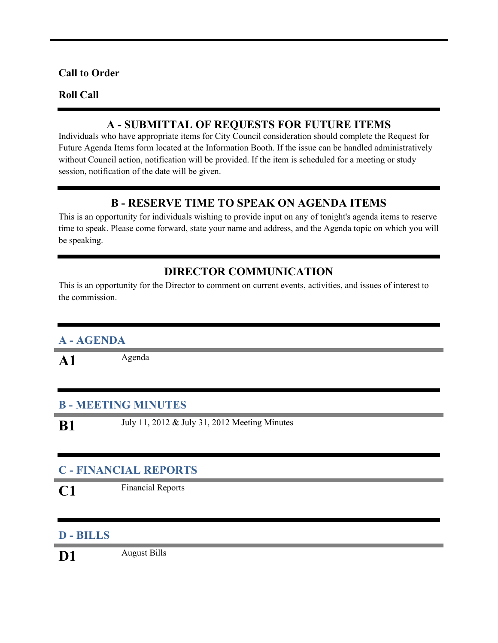#### **Call to Order**

#### **Roll Call**

### **A - SUBMITTAL OF REQUESTS FOR FUTURE ITEMS**

Individuals who have appropriate items for City Council consideration should complete the Request for Future Agenda Items form located at the Information Booth. If the issue can be handled administratively without Council action, notification will be provided. If the item is scheduled for a meeting or study session, notification of the date will be given.

### **B - RESERVE TIME TO SPEAK ON AGENDA ITEMS**

This is an opportunity for individuals wishing to provide input on any of tonight's agenda items to reserve time to speak. Please come forward, state your name and address, and the Agenda topic on which you will be speaking.

## **DIRECTOR COMMUNICATION**

This is an opportunity for the Director to comment on current events, activities, and issues of interest to the commission.

## **A - AGENDA**

A1 Agenda

#### **B - MEETING MINUTES**

**B1** July 11, 2012 & July 31, 2012 Meeting Minutes

## **C - FINANCIAL REPORTS**

**C1** Financial Reports

#### **D - BILLS**

**D1** August Bills